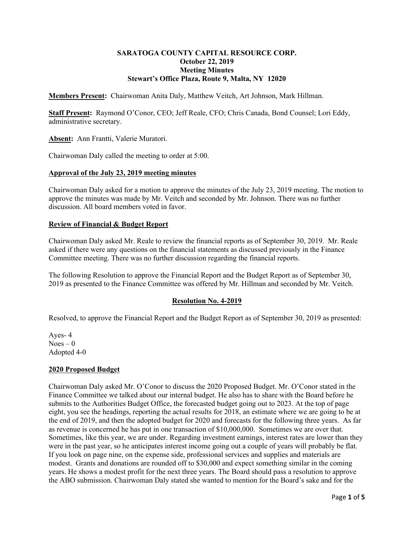# **SARATOGA COUNTY CAPITAL RESOURCE CORP. October 22, 2019 Meeting Minutes Stewart's Office Plaza, Route 9, Malta, NY 12020**

**Members Present:** Chairwoman Anita Daly, Matthew Veitch, Art Johnson, Mark Hillman.

**Staff Present:** Raymond O'Conor, CEO; Jeff Reale, CFO; Chris Canada, Bond Counsel; Lori Eddy, administrative secretary.

**Absent:** Ann Frantti, Valerie Muratori.

Chairwoman Daly called the meeting to order at 5:00.

### **Approval of the July 23, 2019 meeting minutes**

Chairwoman Daly asked for a motion to approve the minutes of the July 23, 2019 meeting. The motion to approve the minutes was made by Mr. Veitch and seconded by Mr. Johnson. There was no further discussion. All board members voted in favor.

### **Review of Financial & Budget Report**

Chairwoman Daly asked Mr. Reale to review the financial reports as of September 30, 2019. Mr. Reale asked if there were any questions on the financial statements as discussed previously in the Finance Committee meeting. There was no further discussion regarding the financial reports.

The following Resolution to approve the Financial Report and the Budget Report as of September 30, 2019 as presented to the Finance Committee was offered by Mr. Hillman and seconded by Mr. Veitch.

# **Resolution No. 4-2019**

Resolved, to approve the Financial Report and the Budget Report as of September 30, 2019 as presented:

Ayes- 4  $Noes - 0$ Adopted 4-0

# **2020 Proposed Budget**

Chairwoman Daly asked Mr. O'Conor to discuss the 2020 Proposed Budget. Mr. O'Conor stated in the Finance Committee we talked about our internal budget. He also has to share with the Board before he submits to the Authorities Budget Office, the forecasted budget going out to 2023. At the top of page eight, you see the headings, reporting the actual results for 2018, an estimate where we are going to be at the end of 2019, and then the adopted budget for 2020 and forecasts for the following three years. As far as revenue is concerned he has put in one transaction of \$10,000,000. Sometimes we are over that. Sometimes, like this year, we are under. Regarding investment earnings, interest rates are lower than they were in the past year, so he anticipates interest income going out a couple of years will probably be flat. If you look on page nine, on the expense side, professional services and supplies and materials are modest. Grants and donations are rounded off to \$30,000 and expect something similar in the coming years. He shows a modest profit for the next three years. The Board should pass a resolution to approve the ABO submission. Chairwoman Daly stated she wanted to mention for the Board's sake and for the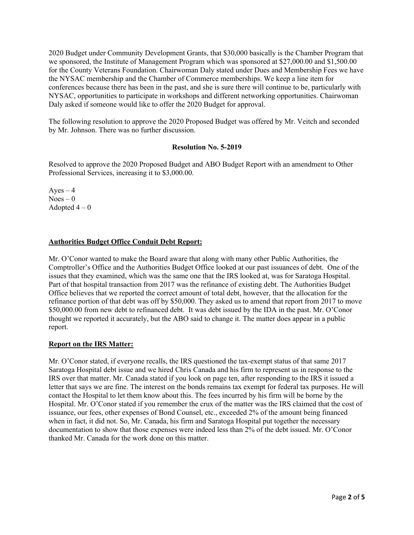2020 Budget under Community Development Grants, that \$30,000 basically is the Chamber Program that we sponsored, the Institute of Management Program which was sponsored at \$27,000.00 and \$1,500.00 for the County Veterans Foundation. Chairwoman Daly stated under Dues and Membership Fees we have the NYSAC membership and the Chamber of Commerce memberships. We keep a line item for conferences because there has been in the past, and she is sure there will continue to be, particularly with NYSAC, opportunities to participate in workshops and different networking opportunities. Chairwoman Daly asked if someone would like to offer the 2020 Budget for approval.

The following resolution to approve the 2020 Proposed Budget was offered by Mr. Veitch and seconded by Mr. Johnson. There was no further discussion.

### **Resolution No. 5-2019**

Resolved to approve the 2020 Proposed Budget and ABO Budget Report with an amendment to Other Professional Services, increasing it to \$3,000.00.

 $Ayes - 4$  $N$ oes – 0 Adopted  $4-0$ 

# **Authorities Budget Office Conduit Debt Report:**

Mr. O'Conor wanted to make the Board aware that along with many other Public Authorities, the Comptroller's Office and the Authorities Budget Office looked at our past issuances of debt. One of the issues that they examined, which was the same one that the IRS looked at, was for Saratoga Hospital. Part of that hospital transaction from 2017 was the refinance of existing debt. The Authorities Budget Office believes that we reported the correct amount of total debt, however, that the allocation for the refinance portion of that debt was off by \$50,000. They asked us to amend that report from 2017 to move \$50,000.00 from new debt to refinanced debt. It was debt issued by the IDA in the past. Mr. O'Conor thought we reported it accurately, but the ABO said to change it. The matter does appear in a public report.

### **Report on the IRS Matter:**

Mr. O'Conor stated, if everyone recalls, the IRS questioned the tax-exempt status of that same 2017 Saratoga Hospital debt issue and we hired Chris Canada and his firm to represent us in response to the IRS over that matter. Mr. Canada stated if you look on page ten, after responding to the IRS it issued a letter that says we are fine. The interest on the bonds remains tax exempt for federal tax purposes. He will contact the Hospital to let them know about this. The fees incurred by his firm will be borne by the Hospital. Mr. O'Conor stated if you remember the crux of the matter was the IRS claimed that the cost of issuance, our fees, other expenses of Bond Counsel, etc., exceeded 2% of the amount being financed when in fact, it did not. So, Mr. Canada, his firm and Saratoga Hospital put together the necessary documentation to show that those expenses were indeed less than 2% of the debt issued. Mr. O'Conor thanked Mr. Canada for the work done on this matter.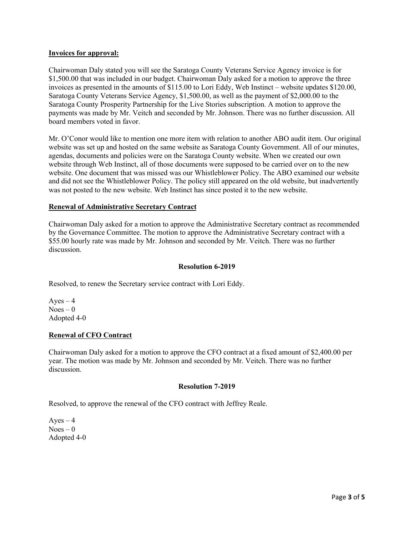### **Invoices for approval:**

Chairwoman Daly stated you will see the Saratoga County Veterans Service Agency invoice is for \$1,500.00 that was included in our budget. Chairwoman Daly asked for a motion to approve the three invoices as presented in the amounts of \$115.00 to Lori Eddy, Web Instinct – website updates \$120.00, Saratoga County Veterans Service Agency, \$1,500.00, as well as the payment of \$2,000.00 to the Saratoga County Prosperity Partnership for the Live Stories subscription. A motion to approve the payments was made by Mr. Veitch and seconded by Mr. Johnson. There was no further discussion. All board members voted in favor.

Mr. O'Conor would like to mention one more item with relation to another ABO audit item. Our original website was set up and hosted on the same website as Saratoga County Government. All of our minutes, agendas, documents and policies were on the Saratoga County website. When we created our own website through Web Instinct, all of those documents were supposed to be carried over on to the new website. One document that was missed was our Whistleblower Policy. The ABO examined our website and did not see the Whistleblower Policy. The policy still appeared on the old website, but inadvertently was not posted to the new website. Web Instinct has since posted it to the new website.

# **Renewal of Administrative Secretary Contract**

Chairwoman Daly asked for a motion to approve the Administrative Secretary contract as recommended by the Governance Committee. The motion to approve the Administrative Secretary contract with a \$55.00 hourly rate was made by Mr. Johnson and seconded by Mr. Veitch. There was no further discussion.

### **Resolution 6-2019**

Resolved, to renew the Secretary service contract with Lori Eddy.

 $Ayes - 4$  $Noes - 0$ Adopted 4-0

### **Renewal of CFO Contract**

Chairwoman Daly asked for a motion to approve the CFO contract at a fixed amount of \$2,400.00 per year. The motion was made by Mr. Johnson and seconded by Mr. Veitch. There was no further discussion.

# **Resolution 7-2019**

Resolved, to approve the renewal of the CFO contract with Jeffrey Reale.

 $Ayes - 4$  $Noes - 0$ Adopted 4-0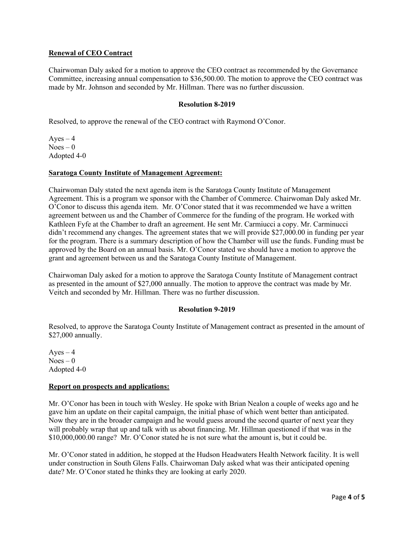# **Renewal of CEO Contract**

Chairwoman Daly asked for a motion to approve the CEO contract as recommended by the Governance Committee, increasing annual compensation to \$36,500.00. The motion to approve the CEO contract was made by Mr. Johnson and seconded by Mr. Hillman. There was no further discussion.

# **Resolution 8-2019**

Resolved, to approve the renewal of the CEO contract with Raymond O'Conor.

Ayes  $-4$  $Noes - 0$ Adopted 4-0

### **Saratoga County Institute of Management Agreement:**

Chairwoman Daly stated the next agenda item is the Saratoga County Institute of Management Agreement. This is a program we sponsor with the Chamber of Commerce. Chairwoman Daly asked Mr. O'Conor to discuss this agenda item. Mr. O'Conor stated that it was recommended we have a written agreement between us and the Chamber of Commerce for the funding of the program. He worked with Kathleen Fyfe at the Chamber to draft an agreement. He sent Mr. Carmiucci a copy. Mr. Carminucci didn't recommend any changes. The agreement states that we will provide \$27,000.00 in funding per year for the program. There is a summary description of how the Chamber will use the funds. Funding must be approved by the Board on an annual basis. Mr. O'Conor stated we should have a motion to approve the grant and agreement between us and the Saratoga County Institute of Management.

Chairwoman Daly asked for a motion to approve the Saratoga County Institute of Management contract as presented in the amount of \$27,000 annually. The motion to approve the contract was made by Mr. Veitch and seconded by Mr. Hillman. There was no further discussion.

### **Resolution 9-2019**

Resolved, to approve the Saratoga County Institute of Management contract as presented in the amount of \$27,000 annually.

 $Ayes - 4$  $Noes - 0$ Adopted 4-0

### **Report on prospects and applications:**

Mr. O'Conor has been in touch with Wesley. He spoke with Brian Nealon a couple of weeks ago and he gave him an update on their capital campaign, the initial phase of which went better than anticipated. Now they are in the broader campaign and he would guess around the second quarter of next year they will probably wrap that up and talk with us about financing. Mr. Hillman questioned if that was in the \$10,000,000.00 range? Mr. O'Conor stated he is not sure what the amount is, but it could be.

Mr. O'Conor stated in addition, he stopped at the Hudson Headwaters Health Network facility. It is well under construction in South Glens Falls. Chairwoman Daly asked what was their anticipated opening date? Mr. O'Conor stated he thinks they are looking at early 2020.